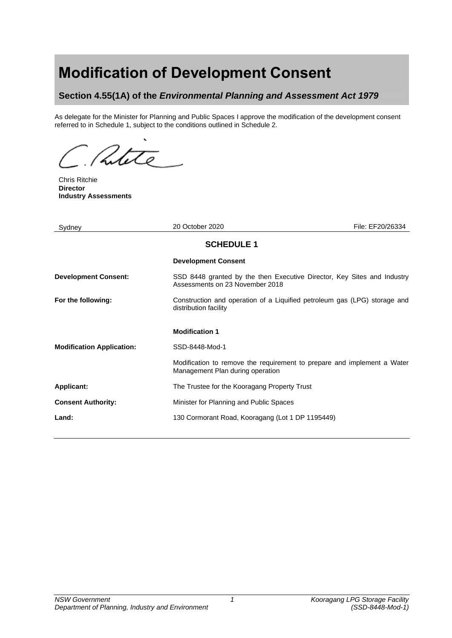# **Modification of Development Consent**

# **Section 4.55(1A) of the** *Environmental Planning and Assessment Act 1979*

As delegate for the Minister for Planning and Public Spaces I approve the modification of the development consent referred to in Schedule 1, subject to the conditions outlined in Schedule 2.

Putite

Chris Ritchie **Director Industry Assessments**

| Sydney                           | 20 October 2020                                                                                             | File: EF20/26334 |
|----------------------------------|-------------------------------------------------------------------------------------------------------------|------------------|
| <b>SCHEDULE 1</b>                |                                                                                                             |                  |
|                                  | <b>Development Consent</b>                                                                                  |                  |
| <b>Development Consent:</b>      | SSD 8448 granted by the then Executive Director, Key Sites and Industry<br>Assessments on 23 November 2018  |                  |
| For the following:               | Construction and operation of a Liquified petroleum gas (LPG) storage and<br>distribution facility          |                  |
|                                  | <b>Modification 1</b>                                                                                       |                  |
| <b>Modification Application:</b> | SSD-8448-Mod-1                                                                                              |                  |
|                                  | Modification to remove the requirement to prepare and implement a Water<br>Management Plan during operation |                  |
| <b>Applicant:</b>                | The Trustee for the Kooragang Property Trust                                                                |                  |
| <b>Consent Authority:</b>        | Minister for Planning and Public Spaces                                                                     |                  |
| Land:                            | 130 Cormorant Road, Kooragang (Lot 1 DP 1195449)                                                            |                  |